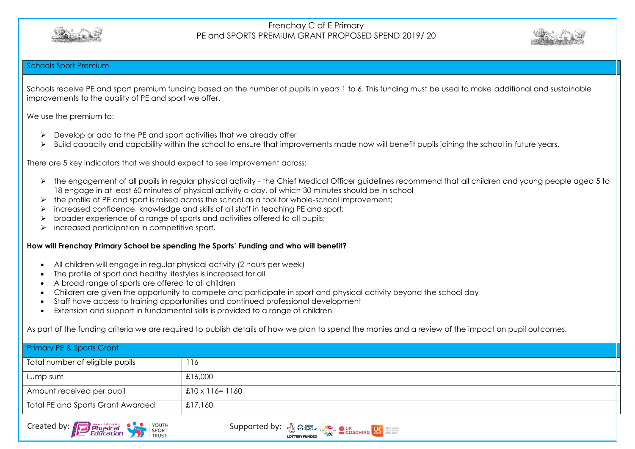



#### Schools Sport Premium

Schools receive PE and sport premium funding based on the number of pupils in years 1 to 6. This funding must be used to make additional and sustainable improvements to the quality of PE and sport we offer.

We use the premium to:

- $\triangleright$  Develop or add to the PE and sport activities that we already offer
- Build capacity and capability within the school to ensure that improvements made now will benefit pupils joining the school in future years.

There are 5 key indicators that we should expect to see improvement across:

- > the engagement of all pupils in regular physical activity the Chief Medical Officer guidelines recommend that all children and young people aged 5 to 18 engage in at least 60 minutes of physical activity a day, of which 30 minutes should be in school
- $\triangleright$  the profile of PE and sport is raised across the school as a tool for whole-school improvement;
- $\triangleright$  increased confidence, knowledge and skills of all staff in teaching PE and sport;
- broader experience of a range of sports and activities offered to all pupils;
- $\triangleright$  increased participation in competitive sport.

#### **How will Frenchay Primary School be spending the Sports' Funding and who will benefit?**

- All children will engage in regular physical activity (2 hours per week)
- The profile of sport and healthy lifestyles is increased for all
- A broad range of sports are offered to all children
- Children are given the opportunity to compete and participate in sport and physical activity beyond the school day
- Staff have access to training opportunities and continued professional development
- Extension and support in fundamental skills is provided to a range of children

As part of the funding criteria we are required to publish details of how we plan to spend the monies and a review of the impact on pupil outcomes.

| Primary PE & Sports Grant                |                         |  |  |  |
|------------------------------------------|-------------------------|--|--|--|
| Total number of eligible pupils          | 116                     |  |  |  |
| Lump sum                                 | £16,000                 |  |  |  |
| Amount received per pupil                | $£10 \times 116 = 1160$ |  |  |  |
| <b>Total PE and Sports Grant Awarded</b> | £17,160                 |  |  |  |



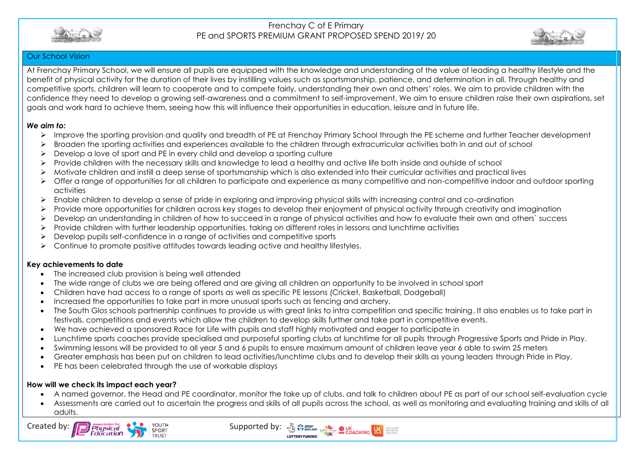



#### Our School Vision

At Frenchay Primary School, we will ensure all pupils are equipped with the knowledge and understanding of the value of leading a healthy lifestyle and the benefit of physical activity for the duration of their lives by instilling values such as sportsmanship, patience, and determination in all. Through healthy and competitive sports, children will learn to cooperate and to compete fairly, understanding their own and others' roles. We aim to provide children with the confidence they need to develop a growing self-awareness and a commitment to self-improvement. We aim to ensure children raise their own aspirations, set goals and work hard to achieve them, seeing how this will influence their opportunities in education, leisure and in future life.

#### *We aim to:*

- Improve the sporting provision and quality and breadth of PE at Frenchay Primary School through the PE scheme and further Teacher development
- Broaden the sporting activities and experiences available to the children through extracurricular activities both in and out of school
- $\triangleright$  Develop a love of sport and PE in every child and develop a sporting culture
- Provide children with the necessary skills and knowledge to lead a healthy and active life both inside and outside of school
- Motivate children and instill a deep sense of sportsmanship which is also extended into their curricular activities and practical lives
- Offer a range of opportunities for all children to participate and experience as many competitive and non-competitive indoor and outdoor sporting activities
- Enable children to develop a sense of pride in exploring and improving physical skills with increasing control and co-ordination
- Provide more opportunities for children across key stages to develop their enjoyment of physical activity through creativity and imagination
- > Develop an understanding in children of how to succeed in a range of physical activities and how to evaluate their own and others' success
- $\triangleright$  Provide children with further leadership opportunities, taking on different roles in lessons and lunchtime activities
- $\triangleright$  Develop pupils self-confidence in a range of activities and competitive sports
- $\triangleright$  Continue to promote positive attitudes towards leading active and healthy lifestyles.

#### **Key achievements to date**

- The increased club provision is being well attended
- The wide range of clubs we are being offered and are giving all children an opportunity to be involved in school sport
- Children have had access to a range of sports as well as specific PE lessons (Cricket, Basketball, Dodgeball)
- Increased the opportunities to take part in more unusual sports such as fencing and archery.
- The South Glos schools partnership continues to provide us with great links to intra competition and specific training. It also enables us to take part in festivals, competitions and events which allow the children to develop skills further and take part in competitive events.
- We have achieved a sponsored Race for Life with pupils and staff highly motivated and eager to participate in
- Lunchtime sports coaches provide specialised and purposeful sporting clubs at lunchtime for all pupils through Progressive Sports and Pride in Play.
- Swimming lessons will be provided to all year 5 and 6 pupils to ensure maximum amount of children leave year 6 able to swim 25 meters
- Greater emphasis has been put on children to lead activities/lunchtime clubs and to develop their skills as young leaders through Pride in Play.
- PE has been celebrated through the use of workable displays

#### **How will we check its impact each year?**

- A named governor, the Head and PE coordinator, monitor the take up of clubs, and talk to children about PE as part of our school self-evaluation cycle
- Assessments are carried out to ascertain the progress and skills of all pupils across the school, as well as monitoring and evaluating training and skills of all adults.



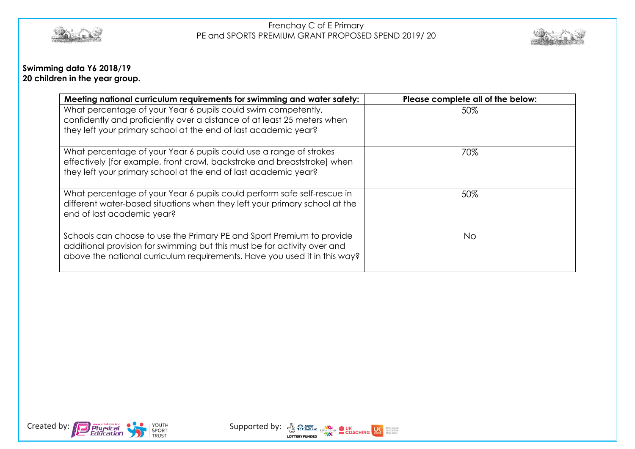



## **Swimming data Y6 2018/19 20 children in the year group.**

| Meeting national curriculum requirements for swimming and water safety:                                                                                                                                                        | Please complete all of the below: |
|--------------------------------------------------------------------------------------------------------------------------------------------------------------------------------------------------------------------------------|-----------------------------------|
| What percentage of your Year 6 pupils could swim competently,<br>confidently and proficiently over a distance of at least 25 meters when<br>they left your primary school at the end of last academic year?                    | 50%                               |
| What percentage of your Year 6 pupils could use a range of strokes<br>effectively [for example, front crawl, backstroke and breaststroke] when<br>they left your primary school at the end of last academic year?              | 70%                               |
| What percentage of your Year 6 pupils could perform safe self-rescue in<br>different water-based situations when they left your primary school at the<br>end of last academic year?                                            | 50%                               |
| Schools can choose to use the Primary PE and Sport Premium to provide<br>additional provision for swimming but this must be for activity over and<br>above the national curriculum requirements. Have you used it in this way? | No.                               |



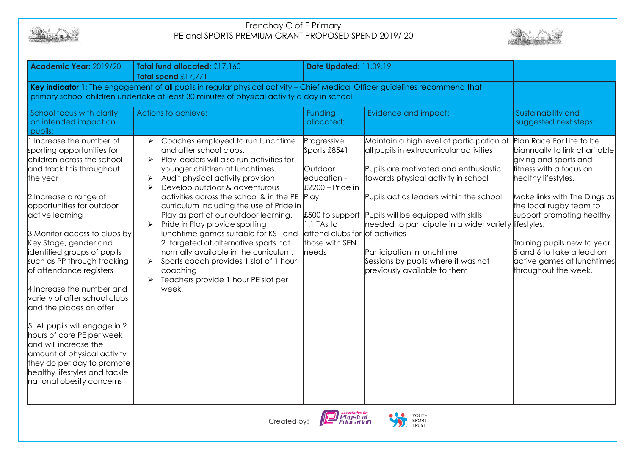



| Academic Year: 2019/20                                                                                                                                                                                                                                                                                                                                                                                                                                                                                                                                                                                                                                                   | Total fund allocated: £17,160<br>Total spend £17,771                                                                                                                                                                                                                                                                                                                                                                                                                                                                                                                                                                                                                                                      | <b>Date Updated: 11.09.19</b>                                                                                                                                               |                                                                                                                                                                                                                                                                                                                                                                                                                      |                                                                                                                                                                                                                                                                                                                                                |
|--------------------------------------------------------------------------------------------------------------------------------------------------------------------------------------------------------------------------------------------------------------------------------------------------------------------------------------------------------------------------------------------------------------------------------------------------------------------------------------------------------------------------------------------------------------------------------------------------------------------------------------------------------------------------|-----------------------------------------------------------------------------------------------------------------------------------------------------------------------------------------------------------------------------------------------------------------------------------------------------------------------------------------------------------------------------------------------------------------------------------------------------------------------------------------------------------------------------------------------------------------------------------------------------------------------------------------------------------------------------------------------------------|-----------------------------------------------------------------------------------------------------------------------------------------------------------------------------|----------------------------------------------------------------------------------------------------------------------------------------------------------------------------------------------------------------------------------------------------------------------------------------------------------------------------------------------------------------------------------------------------------------------|------------------------------------------------------------------------------------------------------------------------------------------------------------------------------------------------------------------------------------------------------------------------------------------------------------------------------------------------|
| Key indicator 1: The engagement of all pupils in regular physical activity - Chief Medical Officer guidelines recommend that<br>primary school children undertake at least 30 minutes of physical activity a day in school                                                                                                                                                                                                                                                                                                                                                                                                                                               |                                                                                                                                                                                                                                                                                                                                                                                                                                                                                                                                                                                                                                                                                                           |                                                                                                                                                                             |                                                                                                                                                                                                                                                                                                                                                                                                                      |                                                                                                                                                                                                                                                                                                                                                |
| School focus with clarity<br>on intended impact on<br>pupils:                                                                                                                                                                                                                                                                                                                                                                                                                                                                                                                                                                                                            | Actions to achieve:                                                                                                                                                                                                                                                                                                                                                                                                                                                                                                                                                                                                                                                                                       | Funding<br>allocated:                                                                                                                                                       | Evidence and impact:                                                                                                                                                                                                                                                                                                                                                                                                 | Sustainability and<br>suggested next steps:                                                                                                                                                                                                                                                                                                    |
| 1. Increase the number of<br>sporting opportunities for<br>children across the school<br>and track this throughout<br>the year<br>2. Increase a range of<br>opportunities for outdoor<br>active learning<br>3. Monitor access to clubs by<br>Key Stage, gender and<br>identified groups of pupils<br>such as PP through tracking<br>of attendance registers<br>4. Increase the number and<br>variety of after school clubs<br>and the places on offer<br>5. All pupils will engage in 2<br>hours of core PE per week<br>and will increase the<br>amount of physical activity<br>they do per day to promote<br>healthy lifestyles and tackle<br>national obesity concerns | Coaches employed to run lunchtime<br>➤<br>and after school clubs.<br>Play leaders will also run activities for<br>$\blacktriangleright$<br>younger children at lunchtimes.<br>Audit physical activity provision<br>$\blacktriangleright$<br>Develop outdoor & adventurous<br>$\blacktriangleright$<br>activities across the school & in the PE Play<br>curriculum including the use of Pride in<br>Play as part of our outdoor learning.<br>Pride in Play provide sporting<br>lunchtime games suitable for KS1 and<br>2 targeted at alternative sports not<br>normally available in the curriculum.<br>Sports coach provides 1 slot of 1 hour<br>coaching<br>Teachers provide 1 hour PE slot per<br>week. | Progressive<br>Sports £8541<br>Outdoor<br>education -<br>$£2200 - Pride in$<br>£500 to support<br>$1:1$ TAs to<br>attend clubs for of activities<br>those with SEN<br>heeds | Maintain a high level of participation of<br>all pupils in extracurricular activities<br>Pupils are motivated and enthusiastic<br>towards physical activity in school<br>Pupils act as leaders within the school<br>Pupils will be equipped with skills<br>needed to participate in a wider variety lifestyles.<br>Participation in lunchtime<br>Sessions by pupils where it was not<br>previously available to them | Plan Race For Life to be<br>biannually to link charitable<br>giving and sports and<br>fitness with a focus on<br>healthy lifestyles.<br>Make links with The Dings as<br>the local rugby team to<br>support promoting healthy<br>Training pupils new to year<br>5 and 6 to take a lead on<br>active games at lunchtimes<br>throughout the week. |



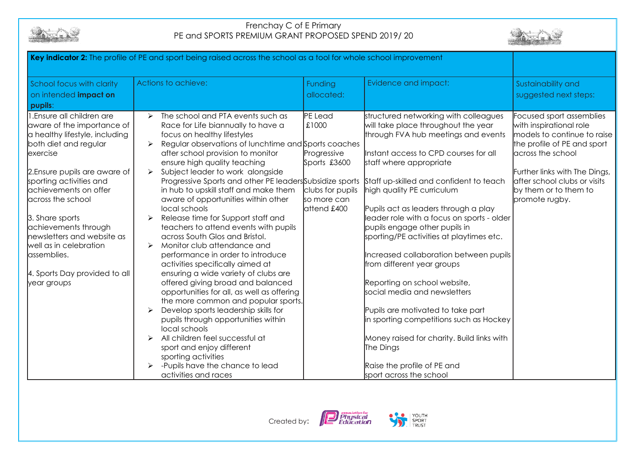



| Key indicator 2: The profile of PE and sport being raised across the school as a tool for whole school improvement                                                                                                                                                                                                                                                                                         |                                                                                                                                                                                                                                                                                                                                                                                                                                                                                                                                                                                                                                                                                                                                                                                                                                                                                                                                                                                                                                                                                    |                                                                                                   |                                                                                                                                                                                                                                                                                                                                                                                                                                                                                                                                                                                                                                                                                                                                                       |                                                                                                                                                                                                                                                    |
|------------------------------------------------------------------------------------------------------------------------------------------------------------------------------------------------------------------------------------------------------------------------------------------------------------------------------------------------------------------------------------------------------------|------------------------------------------------------------------------------------------------------------------------------------------------------------------------------------------------------------------------------------------------------------------------------------------------------------------------------------------------------------------------------------------------------------------------------------------------------------------------------------------------------------------------------------------------------------------------------------------------------------------------------------------------------------------------------------------------------------------------------------------------------------------------------------------------------------------------------------------------------------------------------------------------------------------------------------------------------------------------------------------------------------------------------------------------------------------------------------|---------------------------------------------------------------------------------------------------|-------------------------------------------------------------------------------------------------------------------------------------------------------------------------------------------------------------------------------------------------------------------------------------------------------------------------------------------------------------------------------------------------------------------------------------------------------------------------------------------------------------------------------------------------------------------------------------------------------------------------------------------------------------------------------------------------------------------------------------------------------|----------------------------------------------------------------------------------------------------------------------------------------------------------------------------------------------------------------------------------------------------|
| School focus with clarity<br>on intended <i>impact</i> on<br>pupils:                                                                                                                                                                                                                                                                                                                                       | Actions to achieve:                                                                                                                                                                                                                                                                                                                                                                                                                                                                                                                                                                                                                                                                                                                                                                                                                                                                                                                                                                                                                                                                | Funding<br>allocated:                                                                             | Evidence and impact:                                                                                                                                                                                                                                                                                                                                                                                                                                                                                                                                                                                                                                                                                                                                  | Sustainability and<br>suggested next steps:                                                                                                                                                                                                        |
| I.Ensure all children are<br>aware of the importance of<br>a healthy lifestyle, including<br>both diet and regular<br>exercise<br>2. Ensure pupils are aware of<br>sporting activities and<br>achievements on offer<br>across the school<br>3. Share sports<br>achievements through<br>newsletters and website as<br>well as in celebration<br>assemblies.<br>4. Sports Day provided to all<br>year groups | The school and PTA events such as<br>$\blacktriangleright$<br>Race for Life biannually to have a<br>focus on healthy lifestyles<br>Regular observations of lunchtime and Sports coaches<br>after school provision to monitor<br>ensure high quality teaching<br>Subject leader to work alongside<br>Progressive Sports and other PE leaders Subsidize sports<br>in hub to upskill staff and make them<br>aware of opportunities within other<br>local schools<br>Release time for Support staff and<br>teachers to attend events with pupils<br>across South Glos and Bristol.<br>Monitor club attendance and<br>performance in order to introduce<br>activities specifically aimed at<br>ensuring a wide variety of clubs are<br>offered giving broad and balanced<br>opportunities for all, as well as offering<br>the more common and popular sports.<br>Develop sports leadership skills for<br>pupils through opportunities within<br>local schools<br>All children feel successful at<br>sport and enjoy different<br>sporting activities<br>-Pupils have the chance to lead | PE Lead<br>£1000<br>Progressive<br>Sports £3600<br>clubs for pupils<br>so more can<br>attend £400 | structured networking with colleagues<br>will take place throughout the year<br>through FVA hub meetings and events<br>Instant access to CPD courses for all<br>staff where appropriate<br>Staff up-skilled and confident to teach<br>high quality PE curriculum<br>Pupils act as leaders through a play<br>leader role with a focus on sports - older<br>pupils engage other pupils in<br>sporting/PE activities at playtimes etc.<br>Increased collaboration between pupils<br>from different year groups<br>Reporting on school website,<br>social media and newsletters<br>Pupils are motivated to take part<br>in sporting competitions such as Hockey<br>Money raised for charity. Build links with<br>The Dings<br>Raise the profile of PE and | Focused sport assemblies<br>with inspirational role<br>models to continue to raise<br>the profile of PE and sport<br>across the school<br>Further links with The Dings,<br>after school clubs or visits<br>by them or to them to<br>promote rugby. |
|                                                                                                                                                                                                                                                                                                                                                                                                            | activities and races                                                                                                                                                                                                                                                                                                                                                                                                                                                                                                                                                                                                                                                                                                                                                                                                                                                                                                                                                                                                                                                               |                                                                                                   | sport across the school                                                                                                                                                                                                                                                                                                                                                                                                                                                                                                                                                                                                                                                                                                                               |                                                                                                                                                                                                                                                    |



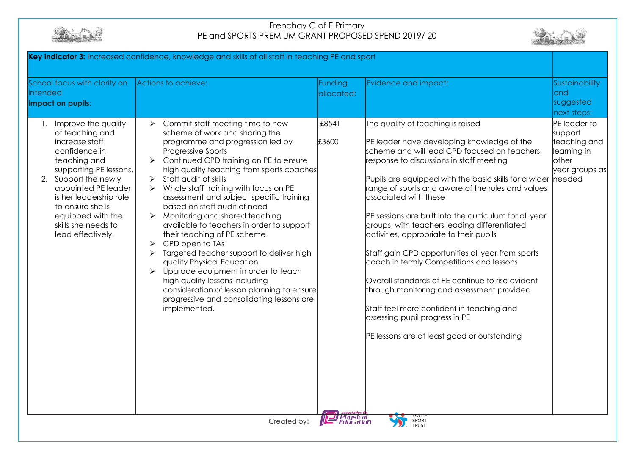



| Key indicator 3: Increased confidence, knowledge and skills of all staff in teaching PE and sport                                                                                                                                                                                    |                                                                                                                                                                                                                                                                                                                                                                                                                                                                                                                                                                                                                                                                                                                                                                                                                                                                                                                        |                                                |                                                                                                                                                                                                                                                                                                                                                                                                                                                                                                                                                                                                                                                                                                                                                                                                                            |                                                                                             |
|--------------------------------------------------------------------------------------------------------------------------------------------------------------------------------------------------------------------------------------------------------------------------------------|------------------------------------------------------------------------------------------------------------------------------------------------------------------------------------------------------------------------------------------------------------------------------------------------------------------------------------------------------------------------------------------------------------------------------------------------------------------------------------------------------------------------------------------------------------------------------------------------------------------------------------------------------------------------------------------------------------------------------------------------------------------------------------------------------------------------------------------------------------------------------------------------------------------------|------------------------------------------------|----------------------------------------------------------------------------------------------------------------------------------------------------------------------------------------------------------------------------------------------------------------------------------------------------------------------------------------------------------------------------------------------------------------------------------------------------------------------------------------------------------------------------------------------------------------------------------------------------------------------------------------------------------------------------------------------------------------------------------------------------------------------------------------------------------------------------|---------------------------------------------------------------------------------------------|
| School focus with clarity on<br>intended<br>impact on pupils:                                                                                                                                                                                                                        | Actions to achieve:                                                                                                                                                                                                                                                                                                                                                                                                                                                                                                                                                                                                                                                                                                                                                                                                                                                                                                    | Funding<br>allocated:                          | Evidence and impact:                                                                                                                                                                                                                                                                                                                                                                                                                                                                                                                                                                                                                                                                                                                                                                                                       | Sustainability<br>and<br>suggested<br>next steps:                                           |
| 1. Improve the quality<br>of teaching and<br>increase staff<br>confidence in<br>teaching and<br>supporting PE lessons.<br>2. Support the newly<br>appointed PE leader<br>is her leadership role<br>to ensure she is<br>equipped with the<br>skills she needs to<br>lead effectively. | Commit staff meeting time to new<br>$\triangleright$<br>scheme of work and sharing the<br>programme and progression led by<br>Progressive Sports<br>Continued CPD training on PE to ensure<br>$\blacktriangleright$<br>high quality teaching from sports coaches<br>Staff audit of skills<br>$\blacktriangleright$<br>Whole staff training with focus on PE<br>$\blacktriangleright$<br>assessment and subject specific training<br>based on staff audit of need<br>Monitoring and shared teaching<br>➤<br>available to teachers in order to support<br>their teaching of PE scheme<br>CPD open to TAs<br>➤<br>Targeted teacher support to deliver high<br>➤<br>quality Physical Education<br>Upgrade equipment in order to teach<br>$\blacktriangleright$<br>high quality lessons including<br>consideration of lesson planning to ensure<br>progressive and consolidating lessons are<br>implemented.<br>Created by: | £8541<br>£3600<br><b>Physical</b><br>Education | The quality of teaching is raised<br>PE leader have developing knowledge of the<br>scheme and will lead CPD focused on teachers<br>response to discussions in staff meeting<br>Pupils are equipped with the basic skills for a wider<br>range of sports and aware of the rules and values<br>associated with these<br>PE sessions are built into the curriculum for all year<br>groups, with teachers leading differentiated<br>activities, appropriate to their pupils<br>Staff gain CPD opportunities all year from sports<br>coach in termly Competitions and lessons<br>Overall standards of PE continue to rise evident<br>through monitoring and assessment provided<br>Staff feel more confident in teaching and<br>assessing pupil progress in PE<br>PE lessons are at least good or outstanding<br>SPORT<br>TRUST | PE leader to<br>support<br>teaching and<br>learning in<br>other<br>year groups as<br>needed |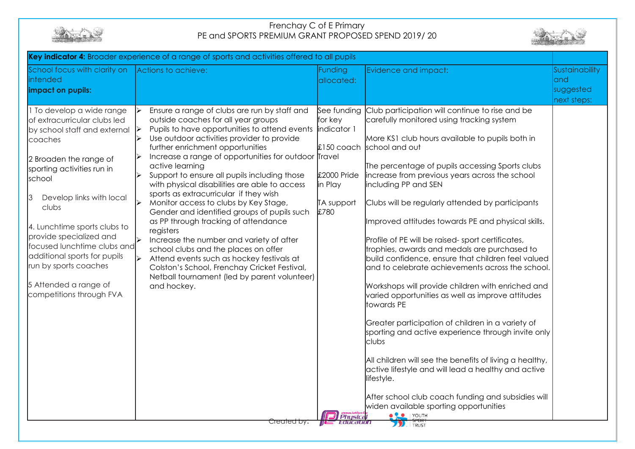



| School focus with clarity on<br>intended<br>impact on pupils:                                                                                                                                                                                                                                                                                                                                                       | Actions to achieve:                                                                                                                                                                                                                                                                                                                                                                                                                                                                                                                                                                                                                                                                                                                                                                                                                                                           | Funding<br>allocated:                                                                            | Evidence and impact:                                                                                                                                                                                                                                                                                                                                                                                                                                                                                                                                                                                                                                                                                                                                                                                                                                                                                                                                                                                                                                                                                                   | Sustainability<br>land<br>suggested<br>next steps: |
|---------------------------------------------------------------------------------------------------------------------------------------------------------------------------------------------------------------------------------------------------------------------------------------------------------------------------------------------------------------------------------------------------------------------|-------------------------------------------------------------------------------------------------------------------------------------------------------------------------------------------------------------------------------------------------------------------------------------------------------------------------------------------------------------------------------------------------------------------------------------------------------------------------------------------------------------------------------------------------------------------------------------------------------------------------------------------------------------------------------------------------------------------------------------------------------------------------------------------------------------------------------------------------------------------------------|--------------------------------------------------------------------------------------------------|------------------------------------------------------------------------------------------------------------------------------------------------------------------------------------------------------------------------------------------------------------------------------------------------------------------------------------------------------------------------------------------------------------------------------------------------------------------------------------------------------------------------------------------------------------------------------------------------------------------------------------------------------------------------------------------------------------------------------------------------------------------------------------------------------------------------------------------------------------------------------------------------------------------------------------------------------------------------------------------------------------------------------------------------------------------------------------------------------------------------|----------------------------------------------------|
| 1 To develop a wide range<br>of extracurricular clubs led<br>by school staff and external<br>coaches<br>2 Broaden the range of<br>sporting activities run in<br>school<br>Develop links with local<br>clubs<br>4. Lunchtime sports clubs to<br>provide specialized and<br>focused lunchtime clubs and<br>additional sports for pupils<br>run by sports coaches<br>5 Attended a range of<br>competitions through FVA | Ensure a range of clubs are run by staff and<br>outside coaches for all year groups<br>Pupils to have opportunities to attend events<br>$\blacktriangleright$<br>Use outdoor activities provider to provide<br>further enrichment opportunities<br>Increase a range of opportunities for outdoor Travel<br>active learning<br>Support to ensure all pupils including those<br>with physical disabilities are able to access<br>sports as extracurricular if they wish<br>Monitor access to clubs by Key Stage,<br>↘<br>Gender and identified groups of pupils such<br>as PP through tracking of attendance<br>registers<br>Increase the number and variety of after<br>school clubs and the places on offer<br>Attend events such as hockey festivals at<br>∣≽<br>Colston's School, Frenchay Cricket Festival,<br>Netball tournament (led by parent volunteer)<br>and hockey. | See funding<br>for key<br>indicator 1<br>£2000 Pride<br>in Play<br>TA support<br>£780<br>Physica | Club participation will continue to rise and be<br>carefully monitored using tracking system<br>More KS1 club hours available to pupils both in<br>£150 coach school and out<br>The percentage of pupils accessing Sports clubs<br>increase from previous years across the school<br>including PP and SEN<br>Clubs will be regularly attended by participants<br>Improved attitudes towards PE and physical skills.<br>Profile of PE will be raised-sport certificates,<br>trophies, awards and medals are purchased to<br>build confidence, ensure that children feel valued<br>and to celebrate achievements across the school.<br>Workshops will provide children with enriched and<br>varied opportunities as well as improve attitudes<br>towards PE<br>Greater participation of children in a variety of<br>sporting and active experience through invite only<br>clubs<br>All children will see the benefits of living a healthy,<br>active lifestyle and will lead a healthy and active<br>lifestyle.<br>After school club coach funding and subsidies will<br>widen available sporting opportunities<br>YOUTH |                                                    |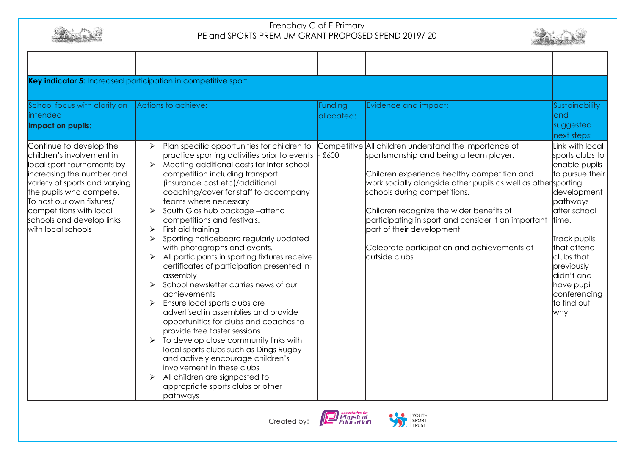



| Key indicator 5: Increased participation in competitive sport                                                                                                                                                                                                                          |                                                                                                                                                                                                                                                                                                                                                                                                                                                                                                                                                                                                                                                                                                                                                                                                                                                                                                                                                                                                                                                                                   |                              |                                                                                                                                                                                                                                                                                                                                                                                                                                                 |                                                                                                                                                                                                                                                                |
|----------------------------------------------------------------------------------------------------------------------------------------------------------------------------------------------------------------------------------------------------------------------------------------|-----------------------------------------------------------------------------------------------------------------------------------------------------------------------------------------------------------------------------------------------------------------------------------------------------------------------------------------------------------------------------------------------------------------------------------------------------------------------------------------------------------------------------------------------------------------------------------------------------------------------------------------------------------------------------------------------------------------------------------------------------------------------------------------------------------------------------------------------------------------------------------------------------------------------------------------------------------------------------------------------------------------------------------------------------------------------------------|------------------------------|-------------------------------------------------------------------------------------------------------------------------------------------------------------------------------------------------------------------------------------------------------------------------------------------------------------------------------------------------------------------------------------------------------------------------------------------------|----------------------------------------------------------------------------------------------------------------------------------------------------------------------------------------------------------------------------------------------------------------|
| School focus with clarity on<br>intended<br>impact on pupils:                                                                                                                                                                                                                          | Actions to achieve:                                                                                                                                                                                                                                                                                                                                                                                                                                                                                                                                                                                                                                                                                                                                                                                                                                                                                                                                                                                                                                                               | <b>Funding</b><br>allocated: | Evidence and impact:                                                                                                                                                                                                                                                                                                                                                                                                                            | Sustainability<br>land<br>suggested<br>next steps:                                                                                                                                                                                                             |
| Continue to develop the<br>children's involvement in<br>local sport tournaments by<br>increasing the number and<br>variety of sports and varying<br>the pupils who compete.<br>To host our own fixtures/<br>competitions with local<br>schools and develop links<br>with local schools | Plan specific opportunities for children to<br>$\blacktriangleright$<br>practice sporting activities prior to events<br>Meeting additional costs for Inter-school<br>competition including transport<br>(insurance cost etc)/additional<br>coaching/cover for staff to accompany<br>teams where necessary<br>South Glos hub package-attend<br>competitions and festivals.<br>First aid training<br>➤<br>Sporting noticeboard regularly updated<br>➤<br>with photographs and events.<br>All participants in sporting fixtures receive<br>$\blacktriangleright$<br>certificates of participation presented in<br>assembly<br>School newsletter carries news of our<br>achievements<br>Ensure local sports clubs are<br>advertised in assemblies and provide<br>opportunities for clubs and coaches to<br>provide free taster sessions<br>To develop close community links with<br>local sports clubs such as Dings Rugby<br>and actively encourage children's<br>involvement in these clubs<br>All children are signposted to<br>➤<br>appropriate sports clubs or other<br>pathways | £600                         | Competitive All children understand the importance of<br>sportsmanship and being a team player.<br>Children experience healthy competition and<br>work socially alongside other pupils as well as othersporting<br>schools during competitions.<br>Children recognize the wider benefits of<br>participating in sport and consider it an important<br>part of their development<br>Celebrate participation and achievements at<br>outside clubs | Link with local<br>sports clubs to<br>enable pupils<br>to pursue their<br>development<br>pathways<br>after school<br>time.<br>Track pupils<br>that attend<br>clubs that<br>previously<br>didn't and<br>have pupil<br>conferencing<br>to find out<br><b>why</b> |